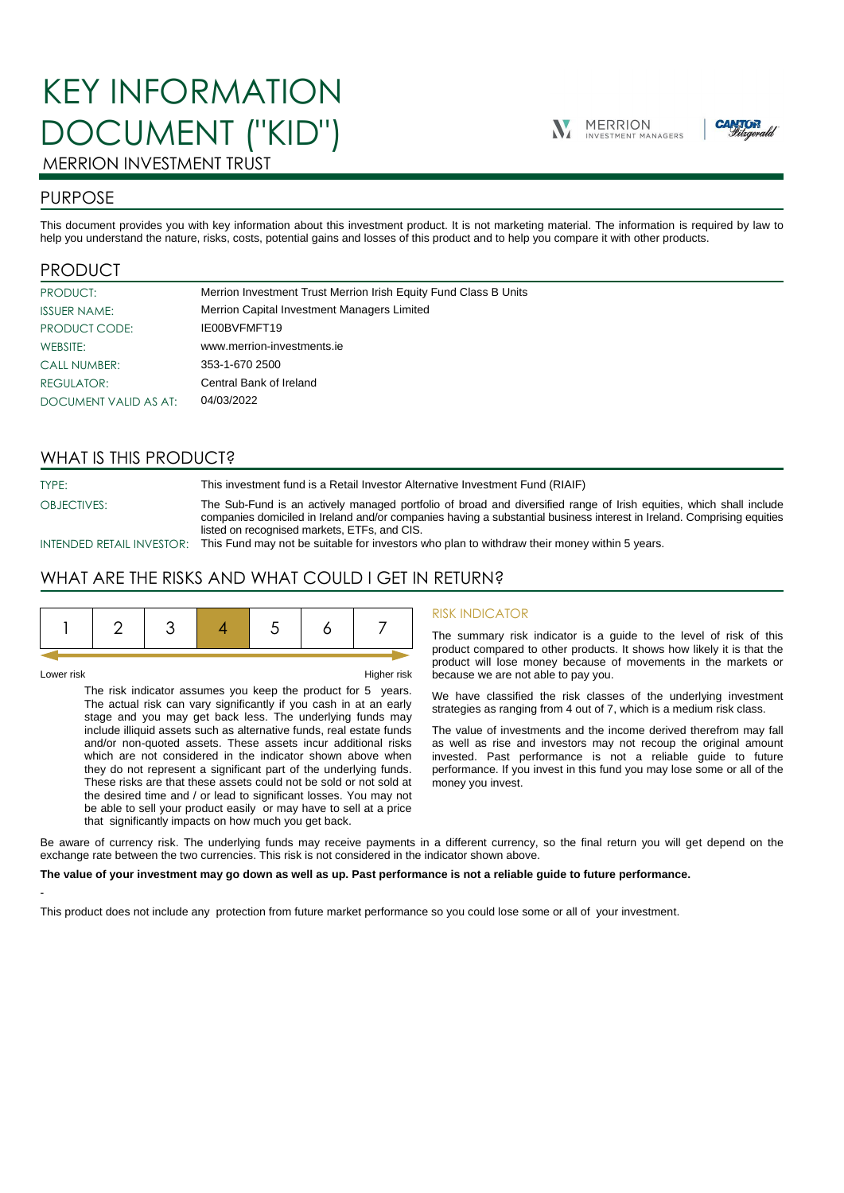# KEY INFORMATION DOCUMENT ("KID")





## MERRION INVESTMENT TRUST

## PURPOSE

This document provides you with key information about this investment product. It is not marketing material. The information is required by law to help you understand the nature, risks, costs, potential gains and losses of this product and to help you compare it with other products.

## PRODUCT

| PRODUCT:              | Merrion Investment Trust Merrion Irish Equity Fund Class B Units |
|-----------------------|------------------------------------------------------------------|
| <b>ISSUER NAME:</b>   | Merrion Capital Investment Managers Limited                      |
| PRODUCT CODE:         | IE00BVFMFT19                                                     |
| WEBSITE:              | www.merrion-investments.ie                                       |
| <b>CALL NUMBER:</b>   | 353-1-670 2500                                                   |
| <b>REGULATOR:</b>     | Central Bank of Ireland                                          |
| DOCUMENT VALID AS AT: | 04/03/2022                                                       |

## WHAT IS THIS PRODUCT?

TYPE: This investment fund is a Retail Investor Alternative Investment Fund (RIAIF)

OBJECTIVES: The Sub-Fund is an actively managed portfolio of broad and diversified range of Irish equities, which shall include companies domiciled in Ireland and/or companies having a substantial business interest in Ireland. Comprising equities listed on recognised markets, ETFs, and CIS.

INTENDED RETAIL INVESTOR: This Fund may not be suitable for investors who plan to withdraw their money within 5 years.

## WHAT ARE THE RISKS AND WHAT COULD I GET IN RETURN?

|--|

-

Lower risk Higher risk

The risk indicator assumes you keep the product for 5 years. The actual risk can vary significantly if you cash in at an early stage and you may get back less. The underlying funds may include illiquid assets such as alternative funds, real estate funds and/or non-quoted assets. These assets incur additional risks which are not considered in the indicator shown above when they do not represent a significant part of the underlying funds. These risks are that these assets could not be sold or not sold at the desired time and / or lead to significant losses. You may not be able to sell your product easily or may have to sell at a price that significantly impacts on how much you get back.

#### RISK INDICATOR

The summary risk indicator is a guide to the level of risk of this product compared to other products. It shows how likely it is that the product will lose money because of movements in the markets or because we are not able to pay you.

We have classified the risk classes of the underlying investment strategies as ranging from 4 out of 7, which is a medium risk class.

The value of investments and the income derived therefrom may fall as well as rise and investors may not recoup the original amount invested. Past performance is not a reliable guide to future performance. If you invest in this fund you may lose some or all of the money you invest.

Be aware of currency risk. The underlying funds may receive payments in a different currency, so the final return you will get depend on the exchange rate between the two currencies. This risk is not considered in the indicator shown above.

#### **The value of your investment may go down as well as up. Past performance is not a reliable guide to future performance.**

This product does not include any protection from future market performance so you could lose some or all of your investment.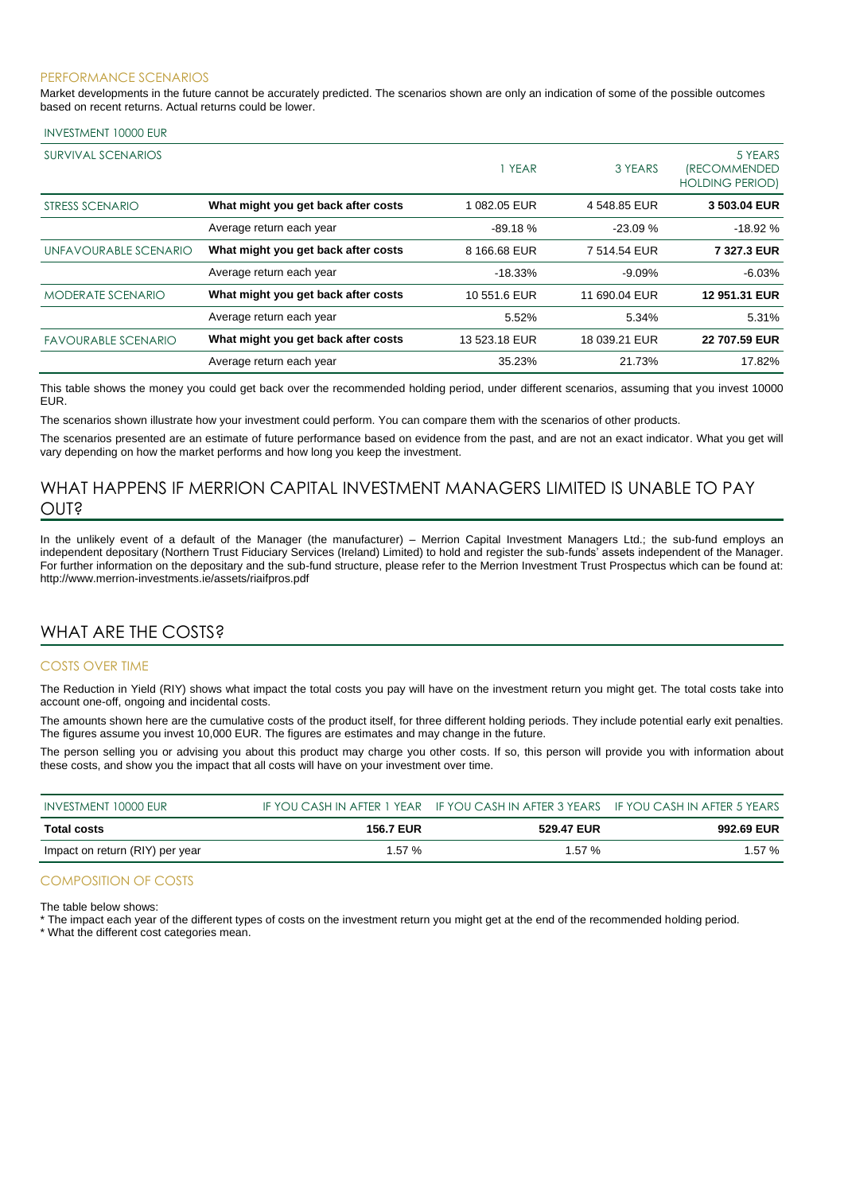#### PERFORMANCE SCENARIOS

Market developments in the future cannot be accurately predicted. The scenarios shown are only an indication of some of the possible outcomes based on recent returns. Actual returns could be lower.

#### INVESTMENT 10000 EUR

| <b>SURVIVAL SCENARIOS</b>  |                                     | 1 YEAR        | 3 YEARS       | 5 YEARS<br><i><b>IRECOMMENDED</b></i><br><b>HOLDING PERIOD)</b> |
|----------------------------|-------------------------------------|---------------|---------------|-----------------------------------------------------------------|
| STRESS SCENARIO            | What might you get back after costs | 1 082.05 EUR  | 4 548.85 EUR  | 3 503.04 EUR                                                    |
|                            | Average return each year            | $-89.18%$     | $-23.09%$     | $-18.92%$                                                       |
| UNFAVOURABLE SCENARIO      | What might you get back after costs | 8 166,68 EUR  | 7 514.54 EUR  | 7 327.3 EUR                                                     |
|                            | Average return each year            | $-18.33%$     | $-9.09%$      | $-6.03%$                                                        |
| <b>MODERATE SCENARIO</b>   | What might you get back after costs | 10 551.6 EUR  | 11 690.04 EUR | 12 951.31 EUR                                                   |
|                            | Average return each year            | 5.52%         | 5.34%         | 5.31%                                                           |
| <b>FAVOURABLE SCENARIO</b> | What might you get back after costs | 13 523.18 EUR | 18 039.21 EUR | 22 707.59 EUR                                                   |
|                            | Average return each year            | 35.23%        | 21.73%        | 17.82%                                                          |

This table shows the money you could get back over the recommended holding period, under different scenarios, assuming that you invest 10000 EUR.

The scenarios shown illustrate how your investment could perform. You can compare them with the scenarios of other products.

The scenarios presented are an estimate of future performance based on evidence from the past, and are not an exact indicator. What you get will vary depending on how the market performs and how long you keep the investment.

## WHAT HAPPENS IF MERRION CAPITAL INVESTMENT MANAGERS LIMITED IS UNABLE TO PAY OUT?

In the unlikely event of a default of the Manager (the manufacturer) – Merrion Capital Investment Managers Ltd.; the sub-fund employs an independent depositary (Northern Trust Fiduciary Services (Ireland) Limited) to hold and register the sub-funds' assets independent of the Manager. For further information on the depositary and the sub-fund structure, please refer to the Merrion Investment Trust Prospectus which can be found at: http://www.merrion-investments.ie/assets/riaifpros.pdf

## WHAT ARE THE COSTS?

#### COSTS OVER TIME

The Reduction in Yield (RIY) shows what impact the total costs you pay will have on the investment return you might get. The total costs take into account one-off, ongoing and incidental costs.

The amounts shown here are the cumulative costs of the product itself, for three different holding periods. They include potential early exit penalties. The figures assume you invest 10,000 EUR. The figures are estimates and may change in the future.

The person selling you or advising you about this product may charge you other costs. If so, this person will provide you with information about these costs, and show you the impact that all costs will have on your investment over time.

| INVESTMENT 10000 EUR            |                  | IF YOU CASH IN AFTER 1 YEAR IF YOU CASH IN AFTER 3 YEARS IF YOU CASH IN AFTER 5 YEARS |            |
|---------------------------------|------------------|---------------------------------------------------------------------------------------|------------|
| Total costs                     | <b>156.7 EUR</b> | 529.47 EUR                                                                            | 992.69 EUR |
| Impact on return (RIY) per year | 1.57%            | 1.57%                                                                                 | $1.57\%$   |

#### COMPOSITION OF COSTS

The table below shows:

\* The impact each year of the different types of costs on the investment return you might get at the end of the recommended holding period.

\* What the different cost categories mean.